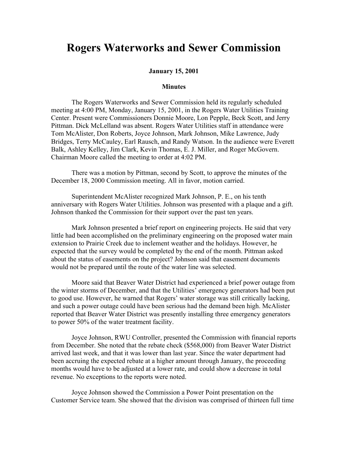## **Rogers Waterworks and Sewer Commission**

## **January 15, 2001**

## **Minutes**

The Rogers Waterworks and Sewer Commission held its regularly scheduled meeting at 4:00 PM, Monday, January 15, 2001, in the Rogers Water Utilities Training Center. Present were Commissioners Donnie Moore, Lon Pepple, Beck Scott, and Jerry Pittman. Dick McLelland was absent. Rogers Water Utilities staff in attendance were Tom McAlister, Don Roberts, Joyce Johnson, Mark Johnson, Mike Lawrence, Judy Bridges, Terry McCauley, Earl Rausch, and Randy Watson. In the audience were Everett Balk, Ashley Kelley, Jim Clark, Kevin Thomas, E. J. Miller, and Roger McGovern. Chairman Moore called the meeting to order at 4:02 PM.

There was a motion by Pittman, second by Scott, to approve the minutes of the December 18, 2000 Commission meeting. All in favor, motion carried.

Superintendent McAlister recognized Mark Johnson, P. E., on his tenth anniversary with Rogers Water Utilities. Johnson was presented with a plaque and a gift. Johnson thanked the Commission for their support over the past ten years.

Mark Johnson presented a brief report on engineering projects. He said that very little had been accomplished on the preliminary engineering on the proposed water main extension to Prairie Creek due to inclement weather and the holidays. However, he expected that the survey would be completed by the end of the month. Pittman asked about the status of easements on the project? Johnson said that easement documents would not be prepared until the route of the water line was selected.

Moore said that Beaver Water District had experienced a brief power outage from the winter storms of December, and that the Utilities' emergency generators had been put to good use. However, he warned that Rogers' water storage was still critically lacking, and such a power outage could have been serious had the demand been high. McAlister reported that Beaver Water District was presently installing three emergency generators to power 50% of the water treatment facility.

Joyce Johnson, RWU Controller, presented the Commission with financial reports from December. She noted that the rebate check (\$568,000) from Beaver Water District arrived last week, and that it was lower than last year. Since the water department had been accruing the expected rebate at a higher amount through January, the proceeding months would have to be adjusted at a lower rate, and could show a decrease in total revenue. No exceptions to the reports were noted.

Joyce Johnson showed the Commission a Power Point presentation on the Customer Service team. She showed that the division was comprised of thirteen full time